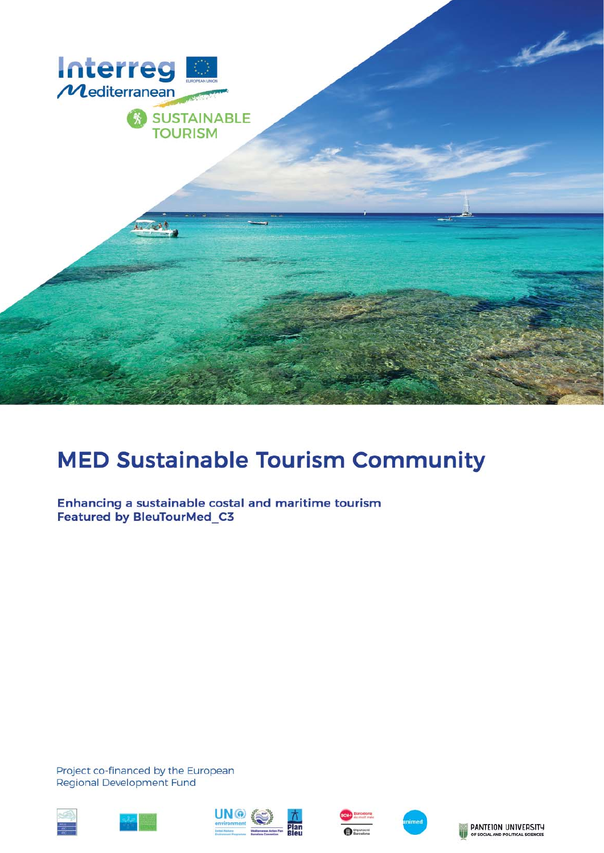

# **MED Sustainable Tourism Community**

Enhancing a sustainable costal and maritime tourism **Featured by BleuTourMed C3** 

Project co-financed by the European **Regional Development Fund** 











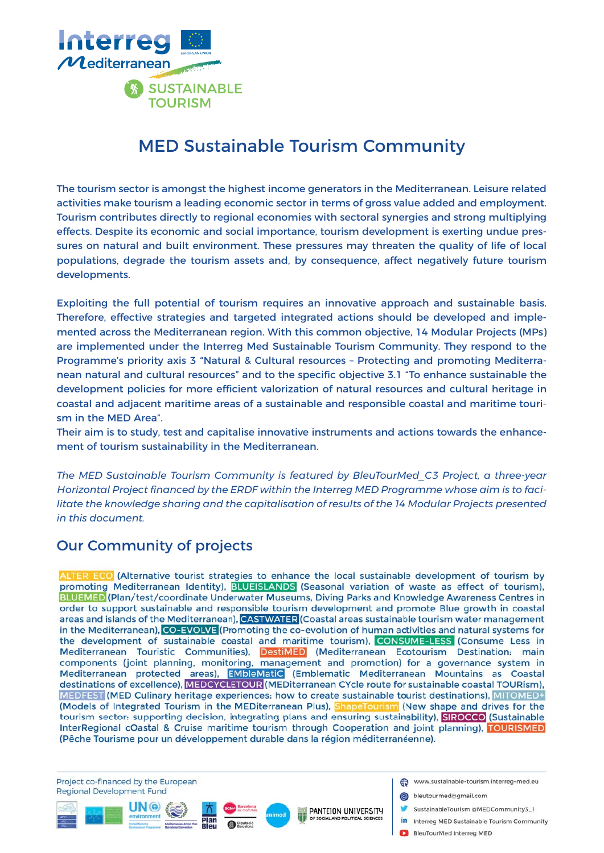

# MED Sustainable Tourism Community

The tourism sector is amongst the highest income generators in the Mediterranean. Leisure related activities make tourism a leading economic sector in terms of gross value added and employment. Tourism contributes directly to regional economies with sectoral synergies and strong multiplying effects. Despite its economic and social importance, tourism development is exerting undue pressures on natural and built environment. These pressures may threaten the quality of life of local populations, degrade the tourism assets and, by consequence, affect negatively future tourism developments.

Exploiting the full potential of tourism requires an innovative approach and sustainable basis. Therefore, effective strategies and targeted integrated actions should be developed and implemented across the Mediterranean region. With this common objective, 14 Modular Projects (MPs) are implemented under the Interreg Med Sustainable Tourism Community. They respond to the Programme's priority axis 3 "Natural & Cultural resources – Protecting and promoting Mediterranean natural and cultural resources" and to the specific objective 3.1 "To enhance sustainable the development policies for more efficient valorization of natural resources and cultural heritage in coastal and adjacent maritime areas of a sustainable and responsible coastal and maritime tourism in the MED Area".

Their aim is to study, test and capitalise innovative instruments and actions towards the enhancement of tourism sustainability in the Mediterranean.

*The MED Sustainable Tourism Community is featured by BleuTourMed\_C3 Project, a three-year*  Horizontal Project financed by the ERDF within the Interreg MED Programme whose aim is to faci*litate the knowledge sharing and the capitalisation of results of the 14 Modular Projects presented in this document.*

#### Our Community of projects

ALTER ECO (Alternative tourist strategies to enhance the local sustainable development of tourism by promoting Mediterranean Identity), BLUEISLANDS (Seasonal variation of waste as effect of tourism), BLUEMED (Plan/test/coordinate Underwater Museums, Diving Parks and Knowledge Awareness Centres in order to support sustainable and responsible tourism development and promote Blue growth in coastal areas and islands of the Mediterranean), CASTWATER (Coastal areas sustainable tourism water management in the Mediterranean), CO-EVOLVE (Promoting the co-evolution of human activities and natural systems for the development of sustainable coastal and maritime tourism), CONSUME-LESS (Consume Less in Mediterranean Touristic Communities), DestiMED (Mediterranean Ecotourism Destination: main components (joint planning, monitoring, management and promotion) for a governance system in Mediterranean protected areas), **EMbleMatiC** (Emblematic Mediterranean Mountains as Coastal destinations of excellence), MEDCYCLETOUR (MEDiterranean CYcle route for sustainable coastal TOURism), MEDFEST (MED Culinary heritage experiences: how to create sustainable tourist destinations), MITOMED+ (Models of Integrated Tourism in the MEDiterranean Plus), ShapeTourism (New shape and drives for the tourism sector: supporting decision, integrating plans and ensuring sustainability), SIROCCO (Sustainable InterRegional cOastal & Cruise maritime tourism through Cooperation and joint planning), TOURISMED (Pêche Tourisme pour un développement durable dans la région méditerranéenne).

PANTEION UNIVERSITY

Project co-financed by the European Regional Development Fund



- bleutourmed@gmail.com
	- SustainableTourism @MEDCommunity3 1
- in Interreg MED Sustainable Tourism Community
- BleuTourMed Interreg MED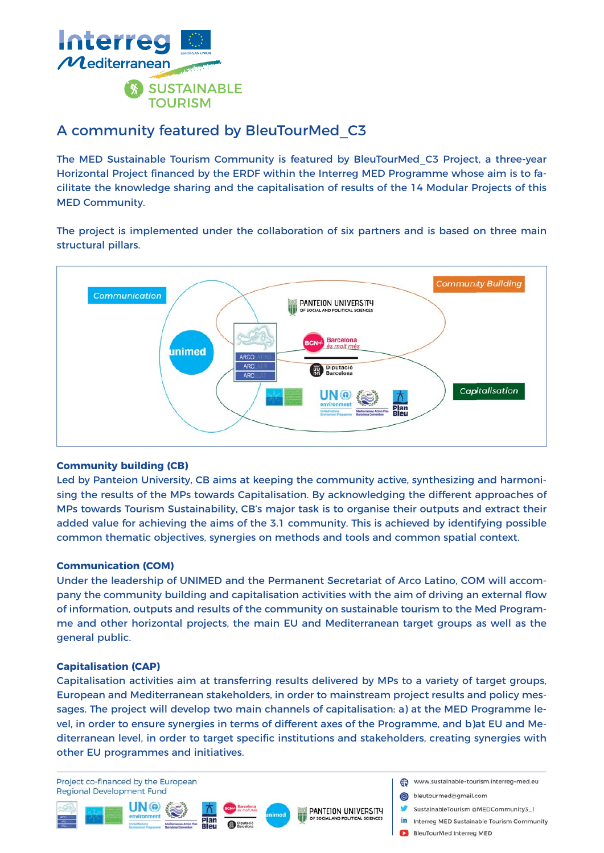

#### A community featured by BleuTourMed\_C3

The MED Sustainable Tourism Community is featured by BleuTourMed\_C3 Project, a three-year Horizontal Project financed by the ERDF within the Interreg MED Programme whose aim is to facilitate the knowledge sharing and the capitalisation of results of the 14 Modular Projects of this MED Community.

The project is implemented under the collaboration of six partners and is based on three main structural pillars.



#### **Community building (CB)**

Led by Panteion University, CB aims at keeping the community active, synthesizing and harmonising the results of the MPs towards Capitalisation. By acknowledging the different approaches of MPs towards Tourism Sustainability, CB's major task is to organise their outputs and extract their added value for achieving the aims of the 3.1 community. This is achieved by identifying possible common thematic objectives, synergies on methods and tools and common spatial context.

#### **Communication (COM)**

Under the leadership of UNIMED and the Permanent Secretariat of Arco Latino, COM will accompany the community building and capitalisation activities with the aim of driving an external flow of information, outputs and results of the community on sustainable tourism to the Med Programme and other horizontal projects, the main EU and Mediterranean target groups as well as the general public.

#### **Capitalisation (CAP)**

Capitalisation activities aim at transferring results delivered by MPs to a variety of target groups, European and Mediterranean stakeholders, in order to mainstream project results and policy messages. The project will develop two main channels of capitalisation: a) at the MED Programme level, in order to ensure synergies in terms of different axes of the Programme, and b)at EU and Mediterranean level, in order to target specific institutions and stakeholders, creating synergies with other EU programmes and initiatives.

Project co-financed by the European Regional Development Fund







- bleutourmed@gmail.com
	- SustainableTourism @MEDCommunity3 1
- in Interreg MED Sustainable Tourism Community
- BleuTourMed Interreg MED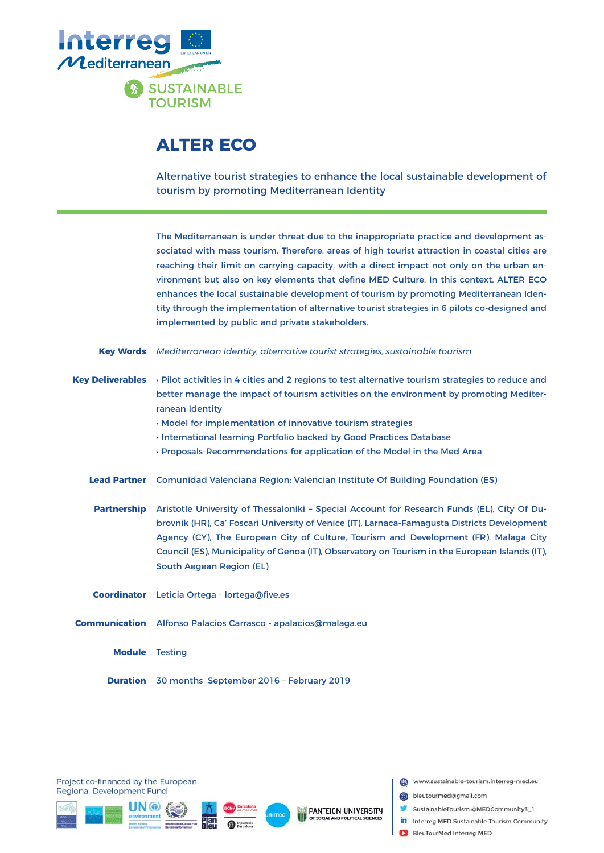

### **ALTER ECO**

Alternative tourist strategies to enhance the local sustainable development of tourism by promoting Mediterranean Identity

The Mediterranean is under threat due to the inappropriate practice and development associated with mass tourism. Therefore, areas of high tourist attraction in coastal cities are reaching their limit on carrying capacity, with a direct impact not only on the urban environment but also on key elements that define MED Culture. In this context, ALTER ECO enhances the local sustainable development of tourism by promoting Mediterranean Identity through the implementation of alternative tourist strategies in 6 pilots co-designed and implemented by public and private stakeholders.

| Key Words Mediterranean Identity, alternative tourist strategies, sustainable tourism |  |  |  |
|---------------------------------------------------------------------------------------|--|--|--|
|                                                                                       |  |  |  |

- Key Deliverables Pilot activities in 4 cities and 2 regions to test alternative tourism strategies to reduce and better manage the impact of tourism activities on the environment by promoting Mediterranean Identity
	- Model for implementation of innovative tourism strategies
	- International learning Portfolio backed by Good Practices Database
	- Proposals-Recommendations for application of the Model in the Med Area
	- Lead Partner Comunidad Valenciana Region: Valencian Institute Of Building Foundation (ES)
	- Aristotle University of Thessaloniki Special Account for Research Funds (EL), City Of Dubrovnik (HR), Ca' Foscari University of Venice (IT), Larnaca-Famagusta Districts Development Agency (CY), The European City of Culture, Tourism and Development (FR), Malaga City Council (ES), Municipality of Genoa (IT), Observatory on Tourism in the European Islands (IT), South Aegean Region (EL) **Partnership**

Coordinator Leticia Ortega - lortega@five.es

- **Communication** Alfonso Palacios Carrasco apalacios@malaga.eu
	- **Module** Testing
	- **Duration** 30 months\_September 2016 February 2019

Project co-financed by the European **Regional Development Fund** 







- bleutourmed@gmail.com
- SustainableTourism @MEDCommunity3\_1
- in Interreg MED Sustainable Tourism Community
- BleuTourMed Interreg MED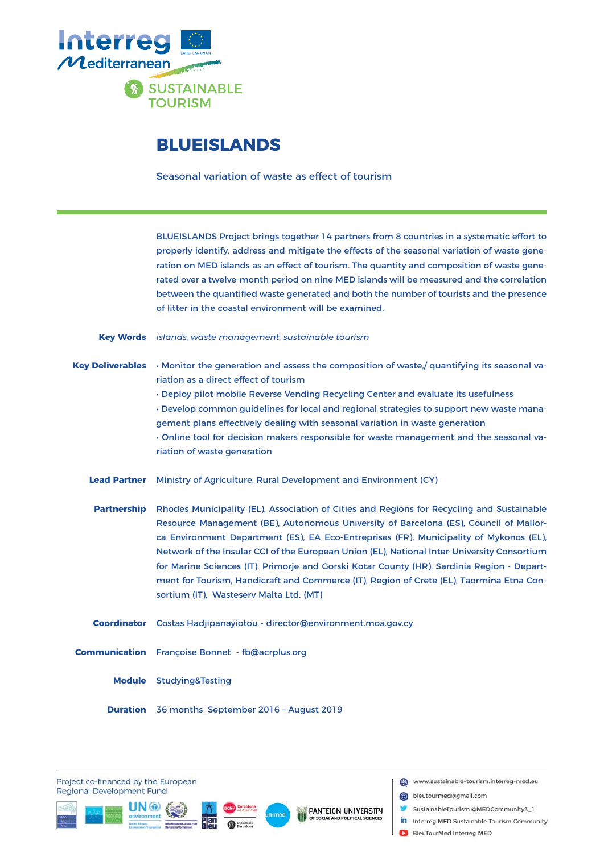

#### **BLUEISLANDS**

Seasonal variation of waste as effect of tourism

BLUEISLANDS Project brings together 14 partners from 8 countries in a systematic effort to properly identify, address and mitigate the effects of the seasonal variation of waste generation on MED islands as an effect of tourism. The quantity and composition of waste generated over a twelve-month period on nine MED islands will be measured and the correlation between the quantified waste generated and both the number of tourists and the presence of litter in the coastal environment will be examined.

*islands, waste management, sustainable tourism* **Key Words**

Key Deliverables • Monitor the generation and assess the composition of waste,/ quantifying its seasonal variation as a direct effect of tourism

> • Deploy pilot mobile Reverse Vending Recycling Center and evaluate its usefulness • Develop common guidelines for local and regional strategies to support new waste management plans effectively dealing with seasonal variation in waste generation

> • Online tool for decision makers responsible for waste management and the seasonal variation of waste generation

Ministry of Agriculture, Rural Development and Environment (CY) **Lead Partner**

Partnership Rhodes Municipality (EL), Association of Cities and Regions for Recycling and Sustainable Resource Management (BE), Autonomous University of Barcelona (ES), Council of Mallorca Environment Department (ES), EA Eco-Entreprises (FR), Municipality of Mykonos (EL), Network of the Insular CCI of the European Union (EL), National Inter-University Consortium for Marine Sciences (IT), Primorje and Gorski Kotar County (HR), Sardinia Region - Department for Tourism, Handicraft and Commerce (IT), Region of Crete (EL), Taormina Etna Consortium (IT), Wasteserv Malta Ltd. (MT)

Costas Hadjipanayiotou - director@environment.moa.gov.cy **Coordinator**

**Communication** Françoise Bonnet - fb@acrplus.org

Module Studying&Testing

**Duration** 36 months\_September 2016 - August 2019

Project co-financed by the European **Regional Development Fund** 







www.sustainable-tourism.interreg-med.eu

bleutourmed@gmail.com

- SustainableTourism @MEDCommunity3\_1
- in Interreg MED Sustainable Tourism Community
- BleuTourMed Interreg MED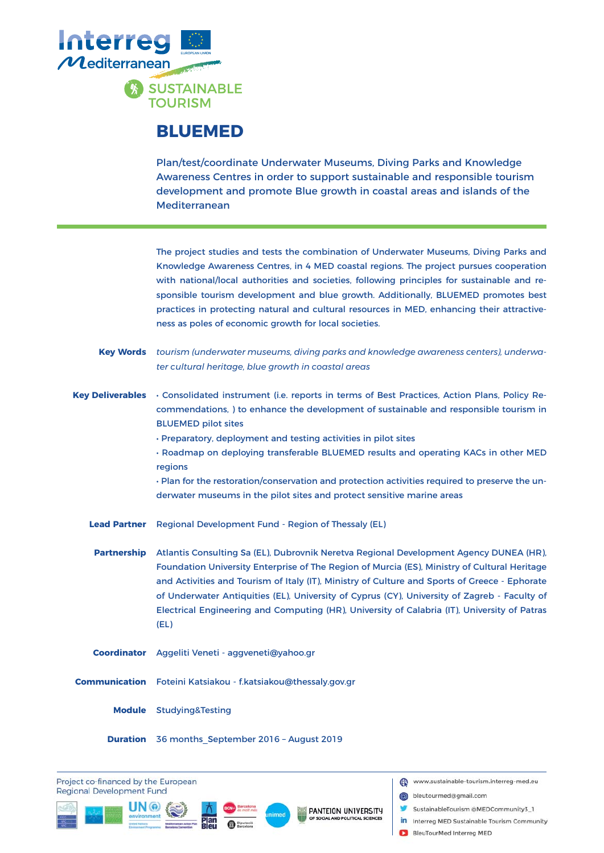

### **BLUEMED**

Plan/test/coordinate Underwater Museums, Diving Parks and Knowledge Awareness Centres in order to support sustainable and responsible tourism development and promote Blue growth in coastal areas and islands of the Mediterranean

|                         | The project studies and tests the combination of Underwater Museums, Diving Parks and<br>Knowledge Awareness Centres, in 4 MED coastal regions. The project pursues cooperation<br>with national/local authorities and societies, following principles for sustainable and re-<br>sponsible tourism development and blue growth. Additionally, BLUEMED promotes best<br>practices in protecting natural and cultural resources in MED, enhancing their attractive-<br>ness as poles of economic growth for local societies.                                          |
|-------------------------|----------------------------------------------------------------------------------------------------------------------------------------------------------------------------------------------------------------------------------------------------------------------------------------------------------------------------------------------------------------------------------------------------------------------------------------------------------------------------------------------------------------------------------------------------------------------|
| <b>Key Words</b>        | tourism (underwater museums, diving parks and knowledge awareness centers), underwa-<br>ter cultural heritage, blue growth in coastal areas                                                                                                                                                                                                                                                                                                                                                                                                                          |
| <b>Key Deliverables</b> | · Consolidated instrument (i.e. reports in terms of Best Practices, Action Plans, Policy Re-<br>commendations, ) to enhance the development of sustainable and responsible tourism in<br><b>BLUEMED pilot sites</b><br>· Preparatory, deployment and testing activities in pilot sites<br>· Roadmap on deploying transferable BLUEMED results and operating KACs in other MED<br>regions<br>· Plan for the restoration/conservation and protection activities required to preserve the un-<br>derwater museums in the pilot sites and protect sensitive marine areas |
| <b>Lead Partner</b>     | Regional Development Fund - Region of Thessaly (EL)                                                                                                                                                                                                                                                                                                                                                                                                                                                                                                                  |
| <b>Partnership</b>      | Atlantis Consulting Sa (EL), Dubrovnik Neretva Regional Development Agency DUNEA (HR),<br>Foundation University Enterprise of The Region of Murcia (ES), Ministry of Cultural Heritage<br>and Activities and Tourism of Italy (IT), Ministry of Culture and Sports of Greece - Ephorate<br>of Underwater Antiquities (EL), University of Cyprus (CY), University of Zagreb - Faculty of<br>Electrical Engineering and Computing (HR), University of Calabria (IT), University of Patras<br>(EL)                                                                      |
|                         | Coordinator Aggeliti Veneti - aggveneti@yahoo.gr                                                                                                                                                                                                                                                                                                                                                                                                                                                                                                                     |
|                         | Communication Foteini Katsiakou - f.katsiakou@thessaly.gov.gr                                                                                                                                                                                                                                                                                                                                                                                                                                                                                                        |
|                         | <b>Module</b> Studying&Testing                                                                                                                                                                                                                                                                                                                                                                                                                                                                                                                                       |
|                         | <b>Duration</b> 36 months September 2016 - August 2019                                                                                                                                                                                                                                                                                                                                                                                                                                                                                                               |

Project co-financed by the European **Regional Development Fund** 





- bleutourmed@gmail.com
- SustainableTourism @MEDCommunity3\_1
- in Interreg MED Sustainable Tourism Community
- BleuTourMed Interreg MED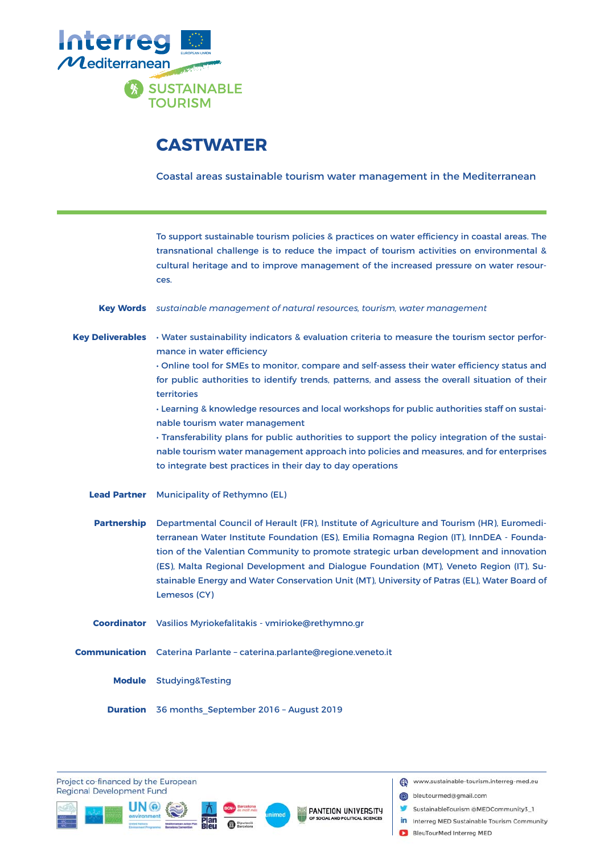

# **CASTWATER**

Coastal areas sustainable tourism water management in the Mediterranean

|                         | To support sustainable tourism policies & practices on water efficiency in coastal areas. The<br>transnational challenge is to reduce the impact of tourism activities on environmental &<br>cultural heritage and to improve management of the increased pressure on water resour-<br>ces.                                                                                                                                                                                                                                                                                                                                                                                 |
|-------------------------|-----------------------------------------------------------------------------------------------------------------------------------------------------------------------------------------------------------------------------------------------------------------------------------------------------------------------------------------------------------------------------------------------------------------------------------------------------------------------------------------------------------------------------------------------------------------------------------------------------------------------------------------------------------------------------|
| <b>Key Words</b>        | sustainable management of natural resources, tourism, water management                                                                                                                                                                                                                                                                                                                                                                                                                                                                                                                                                                                                      |
| <b>Key Deliverables</b> | · Water sustainability indicators & evaluation criteria to measure the tourism sector perfor-<br>mance in water efficiency<br>. Online tool for SMEs to monitor, compare and self-assess their water efficiency status and<br>for public authorities to identify trends, patterns, and assess the overall situation of their<br>territories<br>. Learning & knowledge resources and local workshops for public authorities staff on sustai-<br>nable tourism water management<br>· Transferability plans for public authorities to support the policy integration of the sustai-<br>nable tourism water management approach into policies and measures, and for enterprises |
|                         | to integrate best practices in their day to day operations                                                                                                                                                                                                                                                                                                                                                                                                                                                                                                                                                                                                                  |
| <b>Lead Partner</b>     | Municipality of Rethymno (EL)                                                                                                                                                                                                                                                                                                                                                                                                                                                                                                                                                                                                                                               |
| <b>Partnership</b>      | Departmental Council of Herault (FR), Institute of Agriculture and Tourism (HR), Euromedi-<br>terranean Water Institute Foundation (ES), Emilia Romagna Region (IT), InnDEA - Founda-<br>tion of the Valentian Community to promote strategic urban development and innovation<br>(ES), Malta Regional Development and Dialogue Foundation (MT), Veneto Region (IT), Su-<br>stainable Energy and Water Conservation Unit (MT), University of Patras (EL), Water Board of<br>Lemesos (CY)                                                                                                                                                                                    |
| <b>Coordinator</b>      | Vasilios Myriokefalitakis - vmirioke@rethymno.gr                                                                                                                                                                                                                                                                                                                                                                                                                                                                                                                                                                                                                            |
| <b>Communication</b>    | Caterina Parlante - caterina.parlante@regione.veneto.it                                                                                                                                                                                                                                                                                                                                                                                                                                                                                                                                                                                                                     |
|                         | Module Studying&Testing                                                                                                                                                                                                                                                                                                                                                                                                                                                                                                                                                                                                                                                     |
| <b>Duration</b>         | 36 months September 2016 - August 2019                                                                                                                                                                                                                                                                                                                                                                                                                                                                                                                                                                                                                                      |

Project co-financed by the European **Regional Development Fund** 





- bleutourmed@gmail.com
- SustainableTourism @MEDCommunity3\_1
- in Interreg MED Sustainable Tourism Community
- BleuTourMed Interreg MED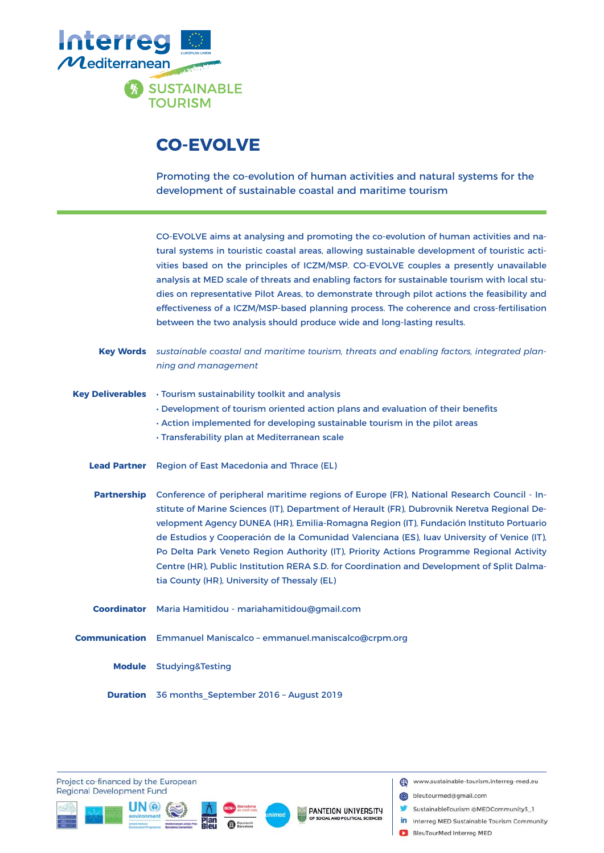

# **CO-EVOLVE**

Promoting the co-evolution of human activities and natural systems for the development of sustainable coastal and maritime tourism

CO-EVOLVE aims at analysing and promoting the co-evolution of human activities and natural systems in touristic coastal areas, allowing sustainable development of touristic activities based on the principles of ICZM/MSP. CO-EVOLVE couples a presently unavailable analysis at MED scale of threats and enabling factors for sustainable tourism with local studies on representative Pilot Areas, to demonstrate through pilot actions the feasibility and effectiveness of a ICZM/MSP-based planning process. The coherence and cross-fertilisation between the two analysis should produce wide and long-lasting results.

|                     | <b>Key Words</b> sustainable coastal and maritime tourism, threats and enabling factors, integrated plan-<br>ning and management                                                                                                                                                                                                                                                                                                                                                                                                                                                                                           |
|---------------------|----------------------------------------------------------------------------------------------------------------------------------------------------------------------------------------------------------------------------------------------------------------------------------------------------------------------------------------------------------------------------------------------------------------------------------------------------------------------------------------------------------------------------------------------------------------------------------------------------------------------------|
|                     | <b>Key Deliverables</b> • Tourism sustainability toolkit and analysis<br>. Development of tourism oriented action plans and evaluation of their benefits<br>. Action implemented for developing sustainable tourism in the pilot areas<br>· Transferability plan at Mediterranean scale                                                                                                                                                                                                                                                                                                                                    |
| <b>Lead Partner</b> | Region of East Macedonia and Thrace (EL)                                                                                                                                                                                                                                                                                                                                                                                                                                                                                                                                                                                   |
| <b>Partnership</b>  | Conference of peripheral maritime regions of Europe (FR), National Research Council - In-<br>stitute of Marine Sciences (IT), Department of Herault (FR), Dubrovnik Neretva Regional De-<br>velopment Agency DUNEA (HR), Emilia-Romagna Region (IT), Fundación Instituto Portuario<br>de Estudios y Cooperación de la Comunidad Valenciana (ES), luay University of Venice (IT),<br>Po Delta Park Veneto Region Authority (IT), Priority Actions Programme Regional Activity<br>Centre (HR), Public Institution RERA S.D. for Coordination and Development of Split Dalma-<br>tia County (HR), University of Thessaly (EL) |
|                     | Coordinator Maria Hamitidou - mariahamitidou@gmail.com                                                                                                                                                                                                                                                                                                                                                                                                                                                                                                                                                                     |
|                     | <b>Communication</b> Emmanuel Maniscalco - emmanuel.maniscalco@crpm.org                                                                                                                                                                                                                                                                                                                                                                                                                                                                                                                                                    |
|                     | <b>Module</b> Studying&Testing                                                                                                                                                                                                                                                                                                                                                                                                                                                                                                                                                                                             |
|                     | Duration 36 months September 2016 - August 2019                                                                                                                                                                                                                                                                                                                                                                                                                                                                                                                                                                            |

Project co-financed by the European **Regional Development Fund** 







- bleutourmed@gmail.com
	- SustainableTourism @MEDCommunity3\_1
- in Interreg MED Sustainable Tourism Community
- BleuTourMed Interreg MED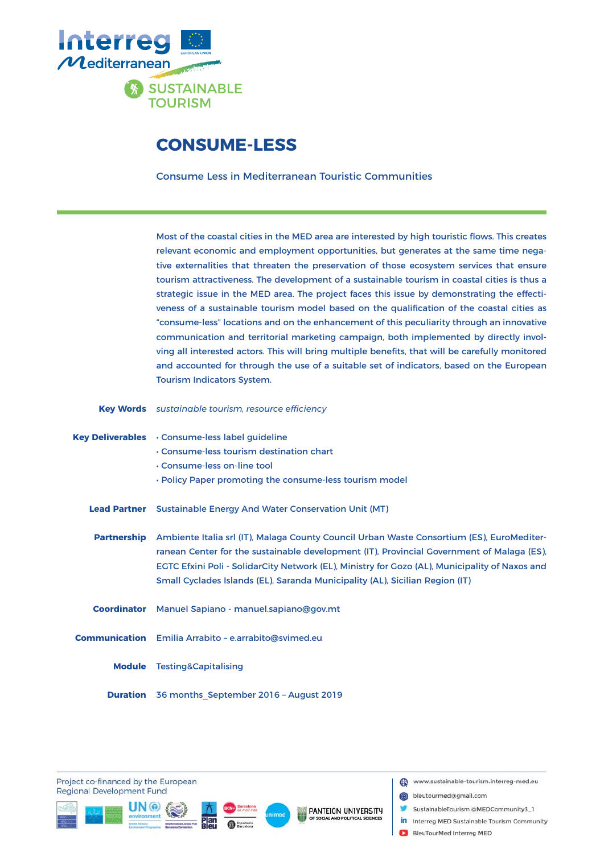

#### **CONSUME-LESS**

Consume Less in Mediterranean Touristic Communities

Most of the coastal cities in the MED area are interested by high touristic flows. This creates relevant economic and employment opportunities, but generates at the same time negative externalities that threaten the preservation of those ecosystem services that ensure tourism attractiveness. The development of a sustainable tourism in coastal cities is thus a strategic issue in the MED area. The project faces this issue by demonstrating the effectiveness of a sustainable tourism model based on the qualification of the coastal cities as "consume-less" locations and on the enhancement of this peculiarity through an innovative communication and territorial marketing campaign, both implemented by directly involving all interested actors. This will bring multiple benefits, that will be carefully monitored and accounted for through the use of a suitable set of indicators, based on the European Tourism Indicators System.

Key Words sustainable tourism, resource efficiency

|                     | Key Deliverables . Consume-less label guideline<br>. Consume-less tourism destination chart<br>. Consume-less on-line tool                                                                                                                                                                                                                                               |
|---------------------|--------------------------------------------------------------------------------------------------------------------------------------------------------------------------------------------------------------------------------------------------------------------------------------------------------------------------------------------------------------------------|
|                     | . Policy Paper promoting the consume-less tourism model                                                                                                                                                                                                                                                                                                                  |
| <b>Lead Partner</b> | <b>Sustainable Energy And Water Conservation Unit (MT)</b>                                                                                                                                                                                                                                                                                                               |
| <b>Partnership</b>  | Ambiente Italia srl (IT), Malaga County Council Urban Waste Consortium (ES), EuroMediter-<br>ranean Center for the sustainable development (IT), Provincial Government of Malaga (ES),<br>EGTC Efxini Poli - SolidarCity Network (EL), Ministry for Gozo (AL), Municipality of Naxos and<br>Small Cyclades Islands (EL), Saranda Municipality (AL), Sicilian Region (IT) |
|                     | Coordinator Manuel Sapiano - manuel.sapiano@gov.mt                                                                                                                                                                                                                                                                                                                       |
|                     | <b>Communication</b> Emilia Arrabito - e.arrabito@svimed.eu                                                                                                                                                                                                                                                                                                              |
| <b>Module</b>       | <b>Testing&amp;Capitalising</b>                                                                                                                                                                                                                                                                                                                                          |
|                     | <b>Duration</b> 36 months September 2016 - August 2019                                                                                                                                                                                                                                                                                                                   |

Project co-financed by the European **Regional Development Fund** 







- bleutourmed@gmail.com
- SustainableTourism @MEDCommunity3\_1
- in Interreg MED Sustainable Tourism Community
- BleuTourMed Interreg MED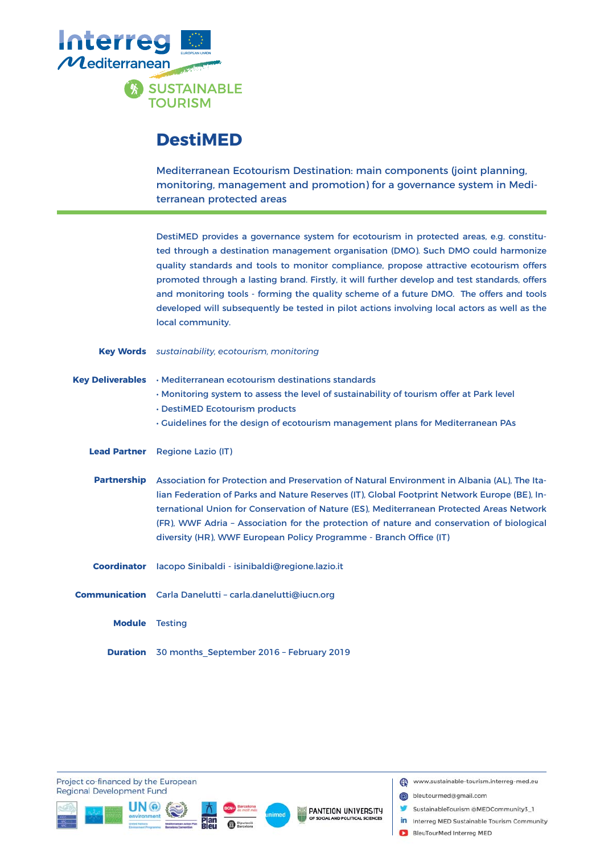

#### **DestiMED**

Mediterranean Ecotourism Destination: main components (joint planning, monitoring, management and promotion) for a governance system in Mediterranean protected areas

DestiMED provides a governance system for ecotourism in protected areas, e.g. constituted through a destination management organisation (DMO). Such DMO could harmonize quality standards and tools to monitor compliance, propose attractive ecotourism offers promoted through a lasting brand. Firstly, it will further develop and test standards, offers and monitoring tools - forming the quality scheme of a future DMO. The offers and tools developed will subsequently be tested in pilot actions involving local actors as well as the local community.

|                         | <b>Key Words</b> sustainability, ecotourism, monitoring                                                                                                                                                                                                                                                                                                                                                                                                     |
|-------------------------|-------------------------------------------------------------------------------------------------------------------------------------------------------------------------------------------------------------------------------------------------------------------------------------------------------------------------------------------------------------------------------------------------------------------------------------------------------------|
| <b>Key Deliverables</b> | • Mediterranean ecotourism destinations standards<br>. Monitoring system to assess the level of sustainability of tourism offer at Park level<br>. DestiMED Ecotourism products<br>. Guidelines for the design of ecotourism management plans for Mediterranean PAs                                                                                                                                                                                         |
| <b>Lead Partner</b>     | <b>Regione Lazio (IT)</b>                                                                                                                                                                                                                                                                                                                                                                                                                                   |
| <b>Partnership</b>      | Association for Protection and Preservation of Natural Environment in Albania (AL). The Ita-<br>lian Federation of Parks and Nature Reserves (IT), Global Footprint Network Europe (BE), In-<br>ternational Union for Conservation of Nature (ES), Mediterranean Protected Areas Network<br>(FR), WWF Adria - Association for the protection of nature and conservation of biological<br>diversity (HR), WWF European Policy Programme - Branch Office (IT) |
| <b>Coordinator</b>      | lacopo Sinibaldi - isinibaldi@regione.lazio.it                                                                                                                                                                                                                                                                                                                                                                                                              |
|                         | Communication Carla Danelutti - carla.danelutti@iucn.org                                                                                                                                                                                                                                                                                                                                                                                                    |
| <b>Module</b>           | <b>Testing</b>                                                                                                                                                                                                                                                                                                                                                                                                                                              |
|                         | <b>Duration</b> 30 months September 2016 - February 2019                                                                                                                                                                                                                                                                                                                                                                                                    |

Project co-financed by the European **Regional Development Fund** 







- bleutourmed@gmail.com
	- SustainableTourism @MEDCommunity3\_1
- in Interreg MED Sustainable Tourism Community
- BleuTourMed Interreg MED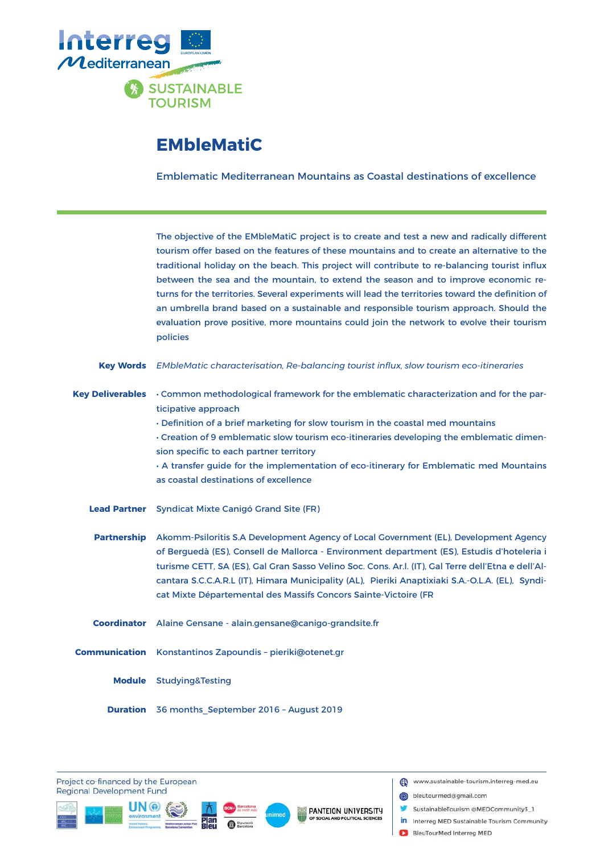

# **EMbleMatiC**

Emblematic Mediterranean Mountains as Coastal destinations of excellence

|                         | The objective of the EMbleMatiC project is to create and test a new and radically different<br>tourism offer based on the features of these mountains and to create an alternative to the<br>traditional holiday on the beach. This project will contribute to re-balancing tourist influx<br>between the sea and the mountain, to extend the season and to improve economic re-<br>turns for the territories. Several experiments will lead the territories toward the definition of<br>an umbrella brand based on a sustainable and responsible tourism approach. Should the<br>evaluation prove positive, more mountains could join the network to evolve their tourism<br>policies |
|-------------------------|----------------------------------------------------------------------------------------------------------------------------------------------------------------------------------------------------------------------------------------------------------------------------------------------------------------------------------------------------------------------------------------------------------------------------------------------------------------------------------------------------------------------------------------------------------------------------------------------------------------------------------------------------------------------------------------|
| <b>Key Words</b>        | EMbleMatic characterisation, Re-balancing tourist influx, slow tourism eco-itineraries                                                                                                                                                                                                                                                                                                                                                                                                                                                                                                                                                                                                 |
| <b>Key Deliverables</b> | • Common methodological framework for the emblematic characterization and for the par-<br>ticipative approach<br>. Definition of a brief marketing for slow tourism in the coastal med mountains                                                                                                                                                                                                                                                                                                                                                                                                                                                                                       |
|                         | · Creation of 9 emblematic slow tourism eco-itineraries developing the emblematic dimen-                                                                                                                                                                                                                                                                                                                                                                                                                                                                                                                                                                                               |
|                         | sion specific to each partner territory                                                                                                                                                                                                                                                                                                                                                                                                                                                                                                                                                                                                                                                |
|                         | . A transfer guide for the implementation of eco-itinerary for Emblematic med Mountains<br>as coastal destinations of excellence                                                                                                                                                                                                                                                                                                                                                                                                                                                                                                                                                       |
| <b>Lead Partner</b>     | <b>Syndicat Mixte Canigó Grand Site (FR)</b>                                                                                                                                                                                                                                                                                                                                                                                                                                                                                                                                                                                                                                           |
| <b>Partnership</b>      | Akomm-Psiloritis S.A Development Agency of Local Government (EL), Development Agency<br>of Berguedà (ES), Consell de Mallorca - Environment department (ES), Estudis d'hoteleria i<br>turisme CETT, SA (ES), Gal Gran Sasso Velino Soc. Cons. Ar.l. (IT), Gal Terre dell'Etna e dell'Al-<br>cantara S.C.C.A.R.L (IT), Himara Municipality (AL), Pieriki Anaptixiaki S.A.-O.L.A. (EL), Syndi-<br>cat Mixte Départemental des Massifs Concors Sainte-Victoire (FR                                                                                                                                                                                                                        |
| <b>Coordinator</b>      | Alaine Gensane - alain.gensane@canigo-grandsite.fr                                                                                                                                                                                                                                                                                                                                                                                                                                                                                                                                                                                                                                     |
|                         | Communication Konstantinos Zapoundis - pieriki@otenet.gr                                                                                                                                                                                                                                                                                                                                                                                                                                                                                                                                                                                                                               |
|                         | Module Studying&Testing                                                                                                                                                                                                                                                                                                                                                                                                                                                                                                                                                                                                                                                                |
| <b>Duration</b>         | 36 months_September 2016 - August 2019                                                                                                                                                                                                                                                                                                                                                                                                                                                                                                                                                                                                                                                 |

Project co-financed by the European **Regional Development Fund** 







- bleutourmed@gmail.com
- SustainableTourism @MEDCommunity3\_1
- in Interreg MED Sustainable Tourism Community
- BleuTourMed Interreg MED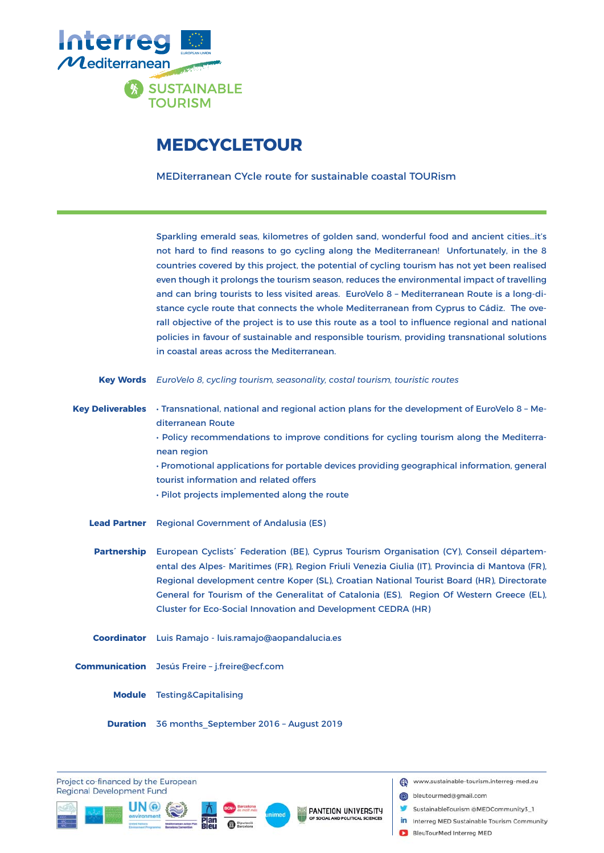

# **MEDCYCLETOUR**

MEDiterranean CYcle route for sustainable coastal TOURism

Sparkling emerald seas, kilometres of golden sand, wonderful food and ancient cities…it's not hard to find reasons to go cycling along the Mediterranean! Unfortunately, in the 8 countries covered by this project, the potential of cycling tourism has not yet been realised even though it prolongs the tourism season, reduces the environmental impact of travelling and can bring tourists to less visited areas. EuroVelo 8 – Mediterranean Route is a long-distance cycle route that connects the whole Mediterranean from Cyprus to Cádiz. The overall objective of the project is to use this route as a tool to influence regional and national policies in favour of sustainable and responsible tourism, providing transnational solutions in coastal areas across the Mediterranean.

**Key Words** EuroVelo 8, cycling tourism, seasonality, costal tourism, touristic routes

Key Deliverables • Transnational, national and regional action plans for the development of EuroVelo 8 - Mediterranean Route

> • Policy recommendations to improve conditions for cycling tourism along the Mediterranean region

> • Promotional applications for portable devices providing geographical information, general tourist information and related offers

• Pilot projects implemented along the route

Regional Government of Andalusia (ES) **Lead Partner**

Partnership European Cyclists<sup>®</sup> Federation (BE), Cyprus Tourism Organisation (CY), Conseil départemental des Alpes- Maritimes (FR), Region Friuli Venezia Giulia (IT), Provincia di Mantova (FR), Regional development centre Koper (SL), Croatian National Tourist Board (HR), Directorate General for Tourism of the Generalitat of Catalonia (ES), Region Of Western Greece (EL), Cluster for Eco-Social Innovation and Development CEDRA (HR)

**Coordinator** Luis Ramajo - luis.ramajo@aopandalucia.es

**Communication** Jesús Freire - j.freire@ecf.com

Module Testing&Capitalising

**Duration** 36 months\_September 2016 - August 2019

Project co-financed by the European **Regional Development Fund** 





PANTEION UNIVERSITY

www.sustainable-tourism.interreg-med.eu

bleutourmed@gmail.com

- SustainableTourism @MEDCommunity3\_1
- in Interreg MED Sustainable Tourism Community
- BleuTourMed Interreg MED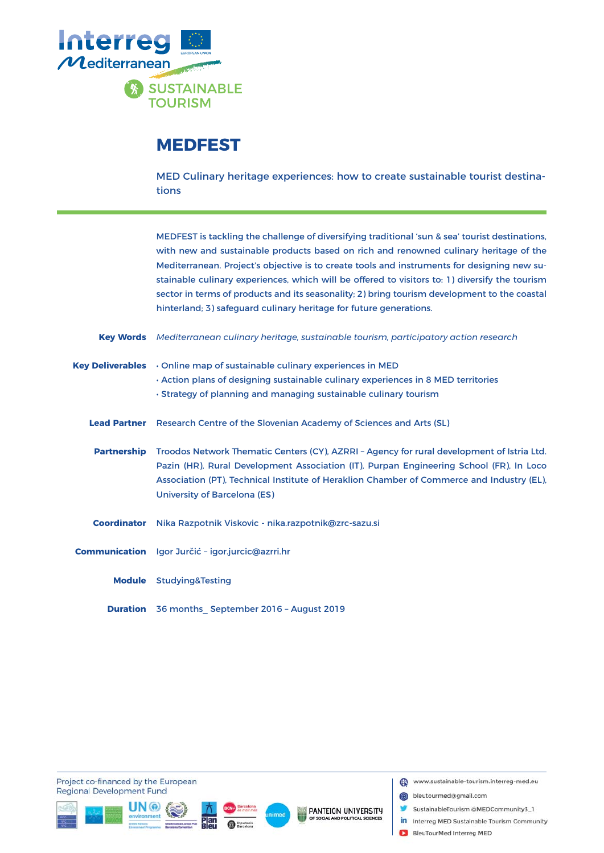

# **MEDFEST**

MED Culinary heritage experiences: how to create sustainable tourist destinations

MEDFEST is tackling the challenge of diversifying traditional 'sun & sea' tourist destinations, with new and sustainable products based on rich and renowned culinary heritage of the Mediterranean. Project's objective is to create tools and instruments for designing new sustainable culinary experiences, which will be offered to visitors to: 1) diversify the tourism sector in terms of products and its seasonality; 2) bring tourism development to the coastal hinterland; 3) safeguard culinary heritage for future generations.

- *Mediterranean culinary heritage, sustainable tourism, participatory action research* **Key Words**
- Online map of sustainable culinary experiences in MED • Action plans of designing sustainable culinary experiences in 8 MED territories • Strategy of planning and managing sustainable culinary tourism **Key Deliverables**
	- Lead Partner Research Centre of the Slovenian Academy of Sciences and Arts (SL)
	- Partnership Troodos Network Thematic Centers (CY), AZRRI Agency for rural development of Istria Ltd. Pazin (HR), Rural Development Association (IT), Purpan Engineering School (FR), In Loco Association (PT), Technical Institute of Heraklion Chamber of Commerce and Industry (EL), University of Barcelona (ES)
	- Coordinator Nika Razpotnik Viskovic nika.razpotnik@zrc-sazu.si
- Igor Jurčić igor.jurcic@azrri.hr **Communication**
	- Studying&Testing **Module**
	- **Duration** 36 months September 2016 August 2019

Project co-financed by the European **Regional Development Fund** 







- bleutourmed@gmail.com
- SustainableTourism @MEDCommunity3\_1
- in Interreg MED Sustainable Tourism Community
- BleuTourMed Interreg MED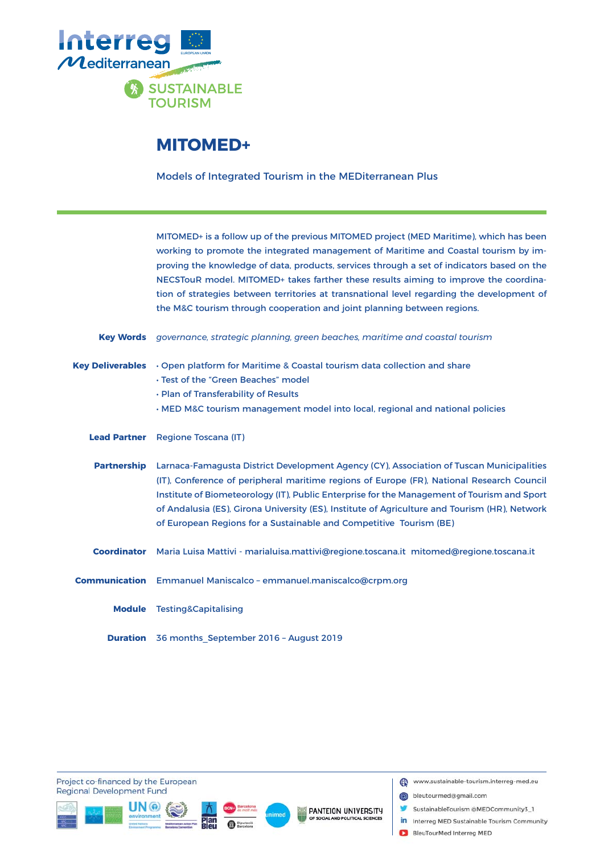

#### **MITOMED+**

Models of Integrated Tourism in the MEDiterranean Plus

MITOMED+ is a follow up of the previous MITOMED project (MED Maritime), which has been working to promote the integrated management of Maritime and Coastal tourism by improving the knowledge of data, products, services through a set of indicators based on the NECSTouR model. MITOMED+ takes farther these results aiming to improve the coordination of strategies between territories at transnational level regarding the development of the M&C tourism through cooperation and joint planning between regions.

*governance, strategic planning, green beaches, maritime and coastal tourism* **Key Words**

- Key Deliverables Open platform for Maritime & Coastal tourism data collection and share
	- Test of the "Green Beaches" model
	- Plan of Transferability of Results
	- MED M&C tourism management model into local, regional and national policies
	- Lead Partner Regione Toscana (IT)
	- Partnership Larnaca-Famagusta District Development Agency (CY), Association of Tuscan Municipalities (IT), Conference of peripheral maritime regions of Europe (FR), National Research Council Institute of Biometeorology (IT), Public Enterprise for the Management of Tourism and Sport of Andalusia (ES), Girona University (ES), Institute of Agriculture and Tourism (HR), Network of European Regions for a Sustainable and Competitive Tourism (BE)
	- Maria Luisa Mattivi marialuisa.mattivi@regione.toscana.it mitomed@regione.toscana.it **Coordinator**
- Emmanuel Maniscalco emmanuel.maniscalco@crpm.org **Communication**
	- Module Testing&Capitalising
	- **Duration** 36 months\_September 2016 August 2019

Project co-financed by the European **Regional Development Fund** 







- bleutourmed@gmail.com
- SustainableTourism @MEDCommunity3\_1
- in Interreg MED Sustainable Tourism Community
- BleuTourMed Interreg MED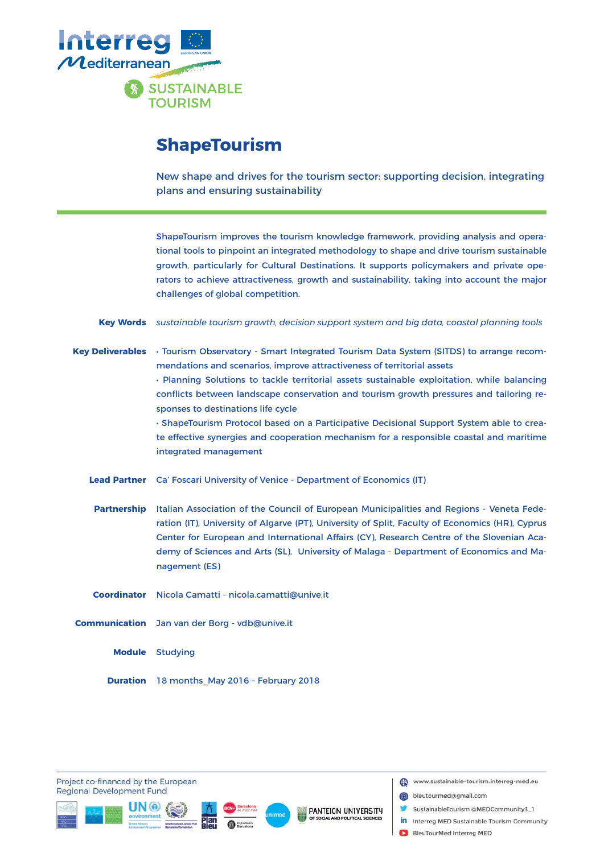

### **ShapeTourism**

New shape and drives for the tourism sector: supporting decision, integrating plans and ensuring sustainability

ShapeTourism improves the tourism knowledge framework, providing analysis and operational tools to pinpoint an integrated methodology to shape and drive tourism sustainable growth, particularly for Cultural Destinations. It supports policymakers and private operators to achieve attractiveness, growth and sustainability, taking into account the major challenges of global competition.

*sustainable tourism growth, decision support system and big data, coastal planning tools* **Key Words**

Key Deliverables • Tourism Observatory - Smart Integrated Tourism Data System (SITDS) to arrange recommendations and scenarios, improve attractiveness of territorial assets

> • Planning Solutions to tackle territorial assets sustainable exploitation, while balancing conflicts between landscape conservation and tourism growth pressures and tailoring responses to destinations life cycle

> • ShapeTourism Protocol based on a Participative Decisional Support System able to create effective synergies and cooperation mechanism for a responsible coastal and maritime integrated management

Lead Partner Ca' Foscari University of Venice - Department of Economics (IT)

Partnership Italian Association of the Council of European Municipalities and Regions - Veneta Federation (IT), University of Algarve (PT), University of Split, Faculty of Economics (HR), Cyprus Center for European and International Affairs (CY), Research Centre of the Slovenian Academy of Sciences and Arts (SL), University of Malaga - Department of Economics and Management (ES)

Coordinator Nicola Camatti - nicola.camatti@unive.it

Communication Jan van der Borg - vdb@unive.it

**Module** Studying

**Duration** 18 months\_May 2016 - February 2018

Project co-financed by the European **Regional Development Fund** 







- bleutourmed@gmail.com
- SustainableTourism @MEDCommunity3\_1
- in Interreg MED Sustainable Tourism Community
- BleuTourMed Interreg MED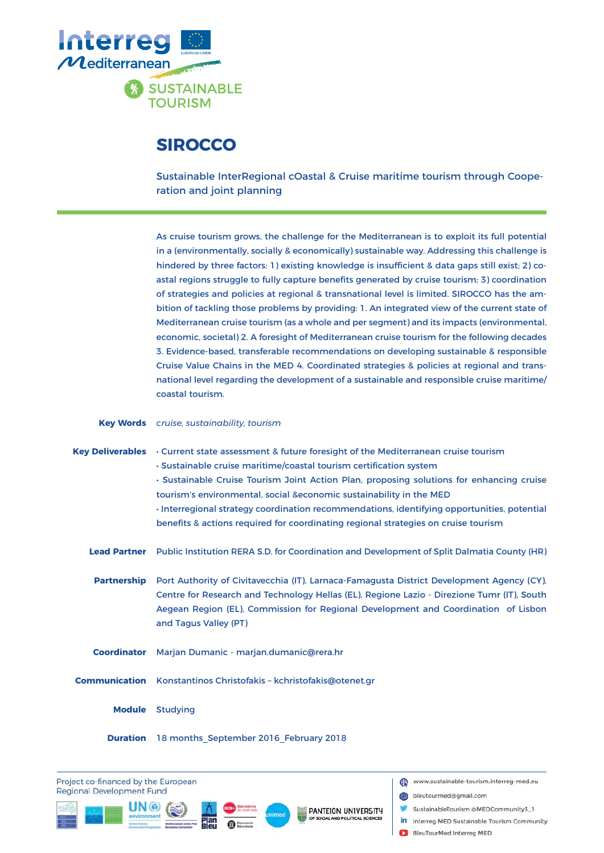

### **SIROCCO**

Sustainable InterRegional cOastal & Cruise maritime tourism through Cooperation and joint planning

As cruise tourism grows, the challenge for the Mediterranean is to exploit its full potential in a (environmentally, socially & economically) sustainable way. Addressing this challenge is hindered by three factors: 1) existing knowledge is insufficient & data gaps still exist; 2) coastal regions struggle to fully capture benefits generated by cruise tourism; 3) coordination of strategies and policies at regional & transnational level is limited. SIROCCO has the ambition of tackling those problems by providing: 1. An integrated view of the current state of Mediterranean cruise tourism (as a whole and per segment) and its impacts (environmental, economic, societal) 2. A foresight of Mediterranean cruise tourism for the following decades 3. Evidence-based, transferable recommendations on developing sustainable & responsible Cruise Value Chains in the MED 4. Coordinated strategies & policies at regional and transnational level regarding the development of a sustainable and responsible cruise maritime/ coastal tourism.

#### *cruise, sustainability, tourism* **Key Words**

Key Deliverables • Current state assessment & future foresight of the Mediterranean cruise tourism • Sustainable cruise maritime/coastal tourism certification system • Sustainable Cruise Tourism Joint Action Plan, proposing solutions for enhancing cruise tourism's environmental, social &economic sustainability in the MED • Interregional strategy coordination recommendations, identifying opportunities, potential benefits & actions required for coordinating regional strategies on cruise tourism Lead Partner Public Institution RERA S.D. for Coordination and Development of Split Dalmatia County (HR) Port Authority of Civitavecchia (IT), Larnaca-Famagusta District Development Agency (CY), Centre for Research and Technology Hellas (EL), Regione Lazio - Direzione Tumr (IT), South Aegean Region (EL), Commission for Regional Development and Coordination of Lisbon and Tagus Valley (PT) **Coordinator** Marjan Dumanic - marjan.dumanic@rera.hr Communication Konstantinos Christofakis - kchristofakis@otenet.gr **Module** Studying **Partnership**

#### **Duration** 18 months\_September 2016\_February 2018

Project co-financed by the European **Regional Development Fund** 





- bleutourmed@gmail.com
- SustainableTourism @MEDCommunity3\_1
- in Interreg MED Sustainable Tourism Community
- BleuTourMed Interreg MED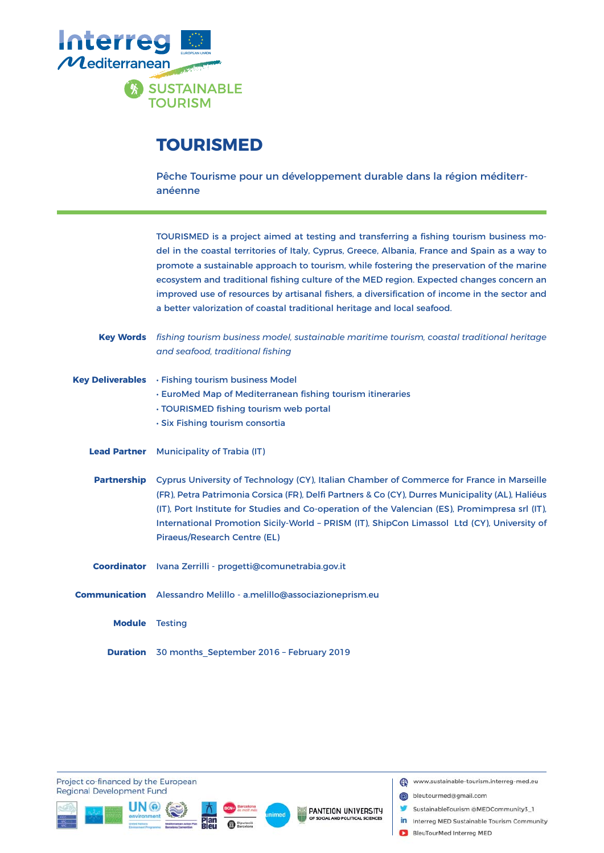

#### **TOURISMED**

Pêche Tourisme pour un développement durable dans la région méditerranéenne

TOURISMED is a project aimed at testing and transferring a fishing tourism business model in the coastal territories of Italy, Cyprus, Greece, Albania, France and Spain as a way to promote a sustainable approach to tourism, while fostering the preservation of the marine ecosystem and traditional fishing culture of the MED region. Expected changes concern an improved use of resources by artisanal fishers, a diversification of income in the sector and a better valorization of coastal traditional heritage and local seafood.

- *fi shing tourism business model, sustainable maritime tourism, coastal traditional heritage*  **Key Words** *and seafood, traditional fi shing*
- Key Deliverables Fishing tourism business Model
	- EuroMed Map of Mediterranean fishing tourism itineraries
	- TOURISMED fishing tourism web portal
	- Six Fishing tourism consortia
	- **Lead Partner** Municipality of Trabia (IT)
	- Partnership Cyprus University of Technology (CY), Italian Chamber of Commerce for France in Marseille (FR), Petra Patrimonia Corsica (FR), Delfi Partners & Co (CY), Durres Municipality (AL), Haliéus (IT), Port Institute for Studies and Co-operation of the Valencian (ES), Promimpresa srl (IT), International Promotion Sicily-World – PRISM (IT), ShipCon Limassol Ltd (CY), University of Piraeus/Research Centre (EL)
	- Coordinator Ivana Zerrilli progetti@comunetrabia.gov.it
- Alessandro Melillo a.melillo@associazioneprism.eu **Communication**
	- **Module** Testing
	- **Duration** 30 months\_September 2016 February 2019

Project co-financed by the European **Regional Development Fund** 







- bleutourmed@gmail.com
- SustainableTourism @MEDCommunity3\_1
- in Interreg MED Sustainable Tourism Community
- BleuTourMed Interreg MED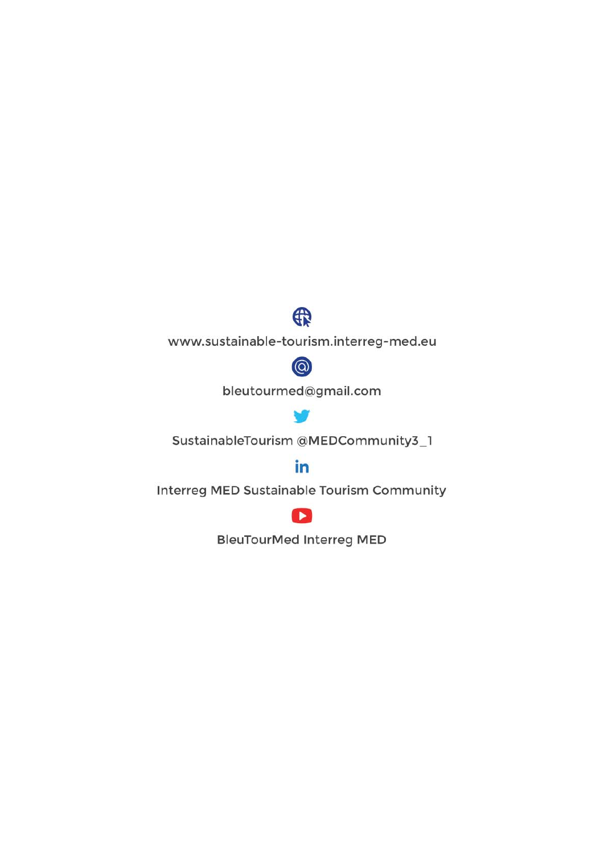

www.sustainable-tourism.interreg-med.eu



bleutourmed@gmail.com

SustainableTourism @MEDCommunity3\_1

#### in

Interreg MED Sustainable Tourism Community



**BleuTourMed Interreg MED**